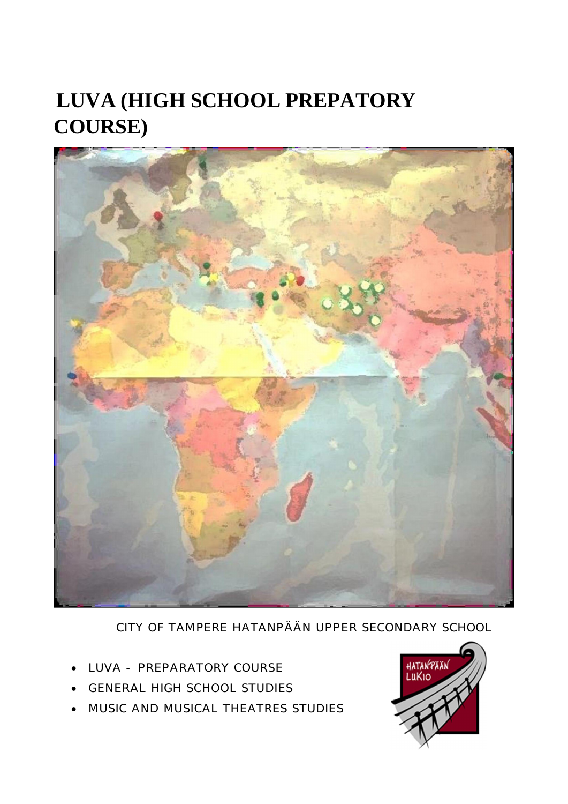## **LUVA (HIGH SCHOOL PREPATORY COURSE)**



CITY OF TAMPERE HATANPÄÄN UPPER SECONDARY SCHOOL

- LUVA PREPARATORY COURSE
- **GENERAL HIGH SCHOOL STUDIES**
- MUSIC AND MUSICAL THEATRES STUDIES

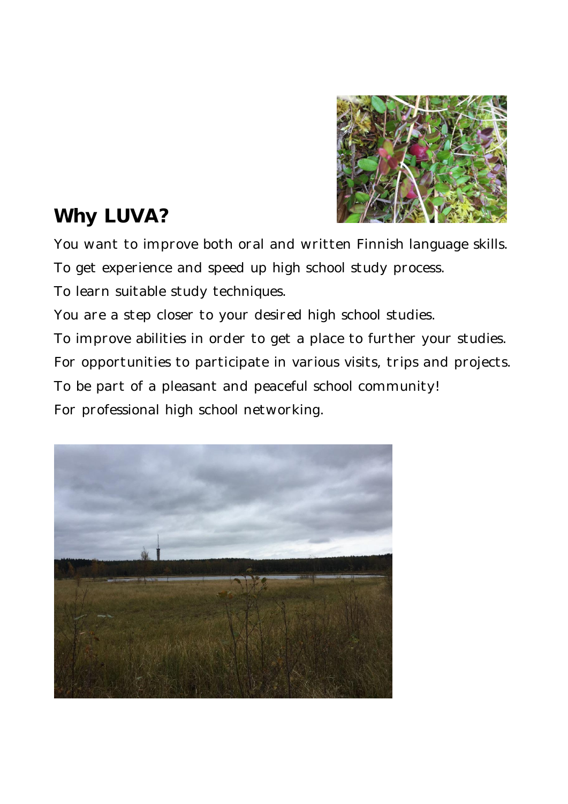

## **Why LUVA?**

You want to improve both oral and written Finnish language skills. To get experience and speed up high school study process. To learn suitable study techniques.

You are a step closer to your desired high school studies. To improve abilities in order to get a place to further your studies. For opportunities to participate in various visits, trips and projects. To be part of a pleasant and peaceful school community! For professional high school networking.

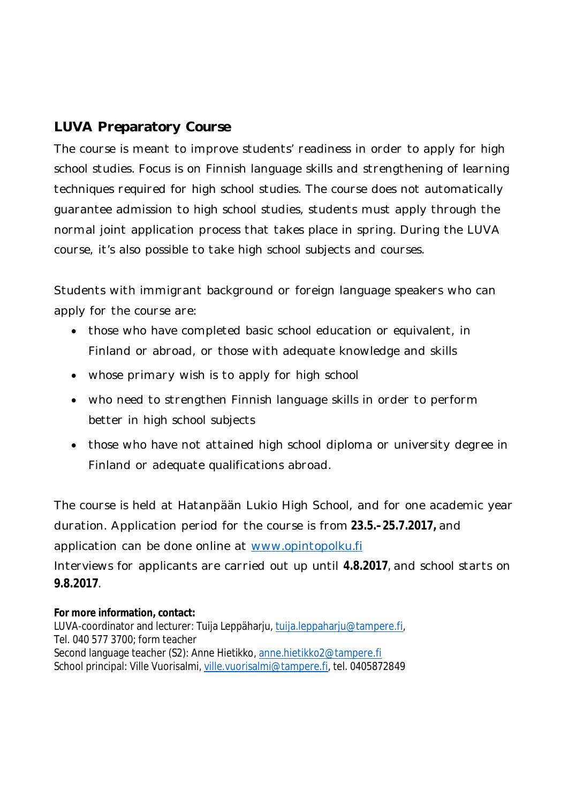## **LUVA Preparatory Course**

The course is meant to improve students' readiness in order to apply for high school studies. Focus is on Finnish language skills and strengthening of learning techniques required for high school studies. The course does not automatically guarantee admission to high school studies, students must apply through the normal joint application process that takes place in spring. During the LUVA course, it's also possible to take high school subjects and courses.

Students with immigrant background or foreign language speakers who can apply for the course are:

- those who have completed basic school education or equivalent, in Finland or abroad, or those with adequate knowledge and skills
- whose primary wish is to apply for high school
- who need to strengthen Finnish language skills in order to perform better in high school subjects
- those who have not attained high school diploma or university degree in Finland or adequate qualifications abroad.

The course is held at Hatanpään Lukio High School, and for one academic year duration. Application period for the course is from **23.5.–25.7.2017,** and application can be done online at www.opintopolku.fi Interviews for applicants are carried out up until **4.8.2017**, and school starts on **9.8.2017**.

**For more information, contact:**  LUVA-coordinator and lecturer: Tuija Leppäharju, tuija.leppaharju@tampere.fi, Tel. 040 577 3700; form teacher Second language teacher (S2): Anne Hietikko, anne.hietikko2@tampere.fi School principal: Ville Vuorisalmi, ville.vuorisalmi@tampere.fi, tel. 0405872849